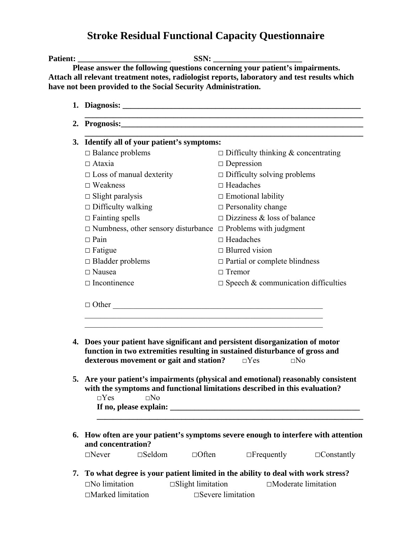## **Stroke Residual Functional Capacity Questionnaire**

|  | 3. Identify all of your patient's symptoms:                                                                                                                                                                                                                                                                                                                                                             |                                            |  |
|--|---------------------------------------------------------------------------------------------------------------------------------------------------------------------------------------------------------------------------------------------------------------------------------------------------------------------------------------------------------------------------------------------------------|--------------------------------------------|--|
|  | $\Box$ Balance problems                                                                                                                                                                                                                                                                                                                                                                                 | $\Box$ Difficulty thinking & concentrating |  |
|  | $\Box$ Ataxia                                                                                                                                                                                                                                                                                                                                                                                           | $\Box$ Depression                          |  |
|  | $\Box$ Loss of manual dexterity                                                                                                                                                                                                                                                                                                                                                                         | $\Box$ Difficulty solving problems         |  |
|  | $\Box$ Weakness                                                                                                                                                                                                                                                                                                                                                                                         | $\Box$ Headaches                           |  |
|  | $\Box$ Slight paralysis                                                                                                                                                                                                                                                                                                                                                                                 | $\Box$ Emotional lability                  |  |
|  | $\Box$ Difficulty walking                                                                                                                                                                                                                                                                                                                                                                               | $\Box$ Personality change                  |  |
|  | $\Box$ Fainting spells                                                                                                                                                                                                                                                                                                                                                                                  | $\Box$ Dizziness & loss of balance         |  |
|  | $\Box$ Numbness, other sensory disturbance $\Box$ Problems with judgment                                                                                                                                                                                                                                                                                                                                |                                            |  |
|  | $\Box$ Pain                                                                                                                                                                                                                                                                                                                                                                                             | $\Box$ Headaches                           |  |
|  | $\Box$ Fatigue                                                                                                                                                                                                                                                                                                                                                                                          | $\Box$ Blurred vision                      |  |
|  | $\Box$ Bladder problems                                                                                                                                                                                                                                                                                                                                                                                 | $\Box$ Partial or complete blindness       |  |
|  | $\Box$ Nausea                                                                                                                                                                                                                                                                                                                                                                                           | $\Box$ Tremor                              |  |
|  | $\Box$ Incontinence                                                                                                                                                                                                                                                                                                                                                                                     | $\Box$ Speech & communication difficulties |  |
|  | $\Box$ Other                                                                                                                                                                                                                                                                                                                                                                                            |                                            |  |
|  | 4. Does your patient have significant and persistent disorganization of motor<br>function in two extremities resulting in sustained disturbance of gross and<br>dexterous movement or gait and station?<br>5. Are your patient's impairments (physical and emotional) reasonably consistent<br>with the symptoms and functional limitations described in this evaluation?<br>$\square$ No<br>$\Box$ Yes | $\square$ No<br>$\Box$ Yes                 |  |
|  |                                                                                                                                                                                                                                                                                                                                                                                                         |                                            |  |
|  | 6. How often are your patient's symptoms severe enough to interfere with attention<br>and concentration?                                                                                                                                                                                                                                                                                                |                                            |  |